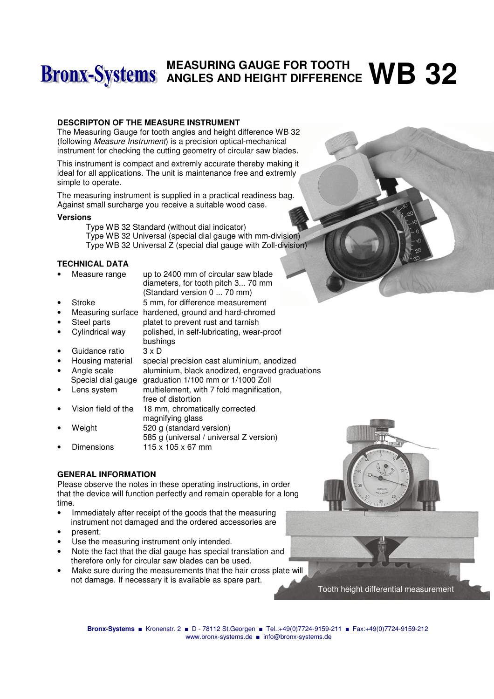# **MEASURING GAUGE FOR TOOTH ANGLES AND HEIGHT DIFFERENCE WB 32**

### **DESCRIPTON OF THE MEASURE INSTRUMENT**

The Measuring Gauge for tooth angles and height difference WB 32 (following Measure Instrument) is a precision optical-mechanical instrument for checking the cutting geometry of circular saw blades.

This instrument is compact and extremly accurate thereby making it ideal for all applications. The unit is maintenance free and extremly simple to operate.

The measuring instrument is supplied in a practical readiness bag. Against small surcharge you receive a suitable wood case.

#### **Versions**

 Type WB 32 Standard (without dial indicator) Type WB 32 Universal (special dial gauge with mm-division) Type WB 32 Universal Z (special dial gauge with Zoll-division)

#### **TECHNICAL DATA**

|           | Measure range       | up to 2400 mm of circular saw blade<br>diameters, for tooth pitch 3 70 mm<br>(Standard version 0  70 mm) |
|-----------|---------------------|----------------------------------------------------------------------------------------------------------|
| $\bullet$ | Stroke              | 5 mm, for difference measurement                                                                         |
| $\bullet$ | Measuring surface   | hardened, ground and hard-chromed                                                                        |
| $\bullet$ | Steel parts         | platet to prevent rust and tarnish                                                                       |
|           | Cylindrical way     | polished, in self-lubricating, wear-proof<br>bushings                                                    |
| $\bullet$ | Guidance ratio      | $3 \times D$                                                                                             |
| $\bullet$ | Housing material    | special precision cast aluminium, anodized                                                               |
| $\bullet$ | Angle scale         | aluminium, black anodized, engraved graduations                                                          |
|           | Special dial gauge  | graduation 1/100 mm or 1/1000 Zoll                                                                       |
| $\bullet$ | Lens system         | multielement, with 7 fold magnification,                                                                 |
|           |                     | free of distortion                                                                                       |
|           | Vision field of the | 18 mm, chromatically corrected                                                                           |
|           |                     | magnifying glass                                                                                         |
|           | Weight              | 520 g (standard version)                                                                                 |
|           |                     | 585 g (universal / universal Z version)                                                                  |
|           | Dimensions          | 115 x 105 x 67 mm                                                                                        |

### **GENERAL INFORMATION**

Please observe the notes in these operating instructions, in order that the device will function perfectly and remain operable for a long time.

- Immediately after receipt of the goods that the measuring instrument not damaged and the ordered accessories are
- present.
- Use the measuring instrument only intended.
- Note the fact that the dial gauge has special translation and therefore only for circular saw blades can be used.
- Make sure during the measurements that the hair cross plate will not damage. If necessary it is available as spare part.



Tooth height differential measurement